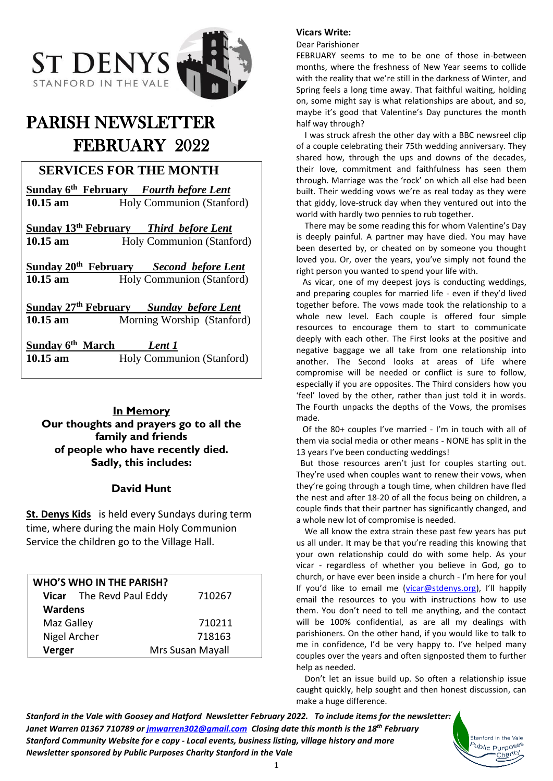

# PARISH NEWSLETTER FEBRUARY 2022

# **SERVICES FOR THE MONTH**

| Sunday 6 <sup>th</sup> February Fourth before Lent            |  |  |
|---------------------------------------------------------------|--|--|
| Holy Communion (Stanford)                                     |  |  |
|                                                               |  |  |
| Sunday 13 <sup>th</sup> February Third before Lent            |  |  |
| Holy Communion (Stanford)                                     |  |  |
|                                                               |  |  |
| Sunday 20 <sup>th</sup> February<br><b>Second before Lent</b> |  |  |
| Holy Communion (Stanford)                                     |  |  |
|                                                               |  |  |
| Sunday 27 <sup>th</sup> February <i>Sunday before Lent</i>    |  |  |
| Morning Worship (Stanford)                                    |  |  |
|                                                               |  |  |
| Sunday 6 <sup>th</sup> March<br>Lent 1                        |  |  |
| Holy Communion (Stanford)                                     |  |  |
|                                                               |  |  |

**In Memory Our thoughts and prayers go to all the family and friends of people who have recently died. Sadly, this includes:**

### **David Hunt**

**St. Denys Kids** is held every Sundays during term time, where during the main Holy Communion Service the children go to the Village Hall.

| <b>WHO'S WHO IN THE PARISH?</b> |                          |                  |
|---------------------------------|--------------------------|------------------|
|                                 | Vicar The Revd Paul Eddy | 710267           |
| <b>Wardens</b>                  |                          |                  |
| Maz Galley                      |                          | 710211           |
| Nigel Archer                    |                          | 718163           |
| Verger                          |                          | Mrs Susan Mayall |

#### **Vicars Write:**

Dear Parishioner

FEBRUARY seems to me to be one of those in-between months, where the freshness of New Year seems to collide with the reality that we're still in the darkness of Winter, and Spring feels a long time away. That faithful waiting, holding on, some might say is what relationships are about, and so, maybe it's good that Valentine's Day punctures the month half way through?

 I was struck afresh the other day with a BBC newsreel clip of a couple celebrating their 75th wedding anniversary. They shared how, through the ups and downs of the decades, their love, commitment and faithfulness has seen them through. Marriage was the 'rock' on which all else had been built. Their wedding vows we're as real today as they were that giddy, love-struck day when they ventured out into the world with hardly two pennies to rub together.

 There may be some reading this for whom Valentine's Day is deeply painful. A partner may have died. You may have been deserted by, or cheated on by someone you thought loved you. Or, over the years, you've simply not found the right person you wanted to spend your life with.

 As vicar, one of my deepest joys is conducting weddings, and preparing couples for married life - even if they'd lived together before. The vows made took the relationship to a whole new level. Each couple is offered four simple resources to encourage them to start to communicate deeply with each other. The First looks at the positive and negative baggage we all take from one relationship into another. The Second looks at areas of Life where compromise will be needed or conflict is sure to follow, especially if you are opposites. The Third considers how you 'feel' loved by the other, rather than just told it in words. The Fourth unpacks the depths of the Vows, the promises made.

 Of the 80+ couples I've married - I'm in touch with all of them via social media or other means - NONE has split in the 13 years I've been conducting weddings!

 But those resources aren't just for couples starting out. They're used when couples want to renew their vows, when they're going through a tough time, when children have fled the nest and after 18-20 of all the focus being on children, a couple finds that their partner has significantly changed, and a whole new lot of compromise is needed.

 We all know the extra strain these past few years has put us all under. It may be that you're reading this knowing that your own relationship could do with some help. As your vicar - regardless of whether you believe in God, go to church, or have ever been inside a church - I'm here for you! If you'd like to email me ([vicar@stdenys.org\)](mailto:vicar@stdenys.org), I'll happily email the resources to you with instructions how to use them. You don't need to tell me anything, and the contact will be 100% confidential, as are all my dealings with parishioners. On the other hand, if you would like to talk to me in confidence, I'd be very happy to. I've helped many couples over the years and often signposted them to further help as needed.

 Don't let an issue build up. So often a relationship issue caught quickly, help sought and then honest discussion, can make a huge difference.

> Stanford in the Vale <sup>5</sup>ublic Purpo<sup>ses</sup> Charity

*Stanford in the Vale with Goosey and Hatford Newsletter February 2022. To include items for the newsletter: Janet Warren 01367 710789 or [jmwarren302@gmail.com](mailto:jmwarren302@gmail.com) Closing date this month is the 18th February Stanford Community Website for e copy - Local events, business listing, village history and more Newsletter sponsored by Public Purposes Charity Stanford in the Vale*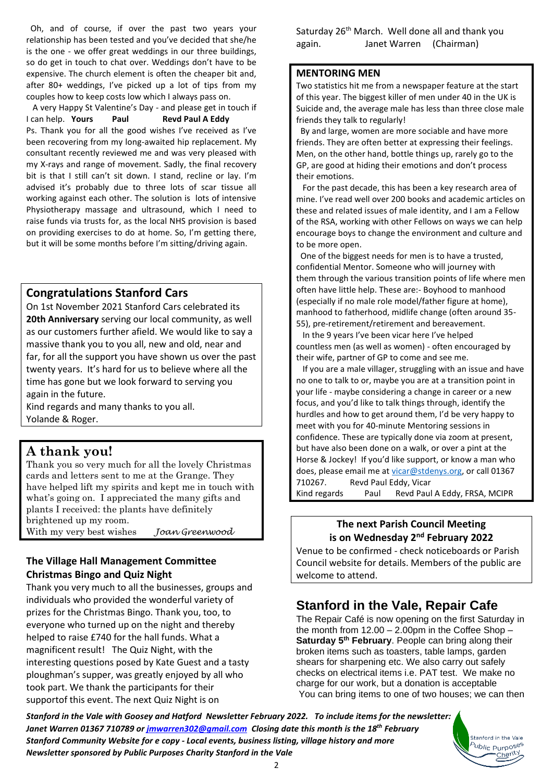Oh, and of course, if over the past two years your relationship has been tested and you've decided that she/he is the one - we offer great weddings in our three buildings, so do get in touch to chat over. Weddings don't have to be expensive. The church element is often the cheaper bit and, after 80+ weddings, I've picked up a lot of tips from my couples how to keep costs low which I always pass on.

 A very Happy St Valentine's Day - and please get in touch if I can help. **Yours** Paul **Revd Paul A Eddy** Ps. Thank you for all the good wishes I've received as I've been recovering from my long-awaited hip replacement. My consultant recently reviewed me and was very pleased with my X-rays and range of movement. Sadly, the final recovery bit is that I still can't sit down. I stand, recline or lay. I'm advised it's probably due to three lots of scar tissue all working against each other. The solution is lots of intensive Physiotherapy massage and ultrasound, which I need to raise funds via trusts for, as the local NHS provision is based on providing exercises to do at home. So, I'm getting there, but it will be some months before I'm sitting/driving again.

### **Congratulations Stanford Cars**

On 1st November 2021 Stanford Cars celebrated its **20th Anniversary** serving our local community, as well as our customers further afield. We would like to say a massive thank you to you all, new and old, near and far, for all the support you have shown us over the past twenty years. It's hard for us to believe where all the time has gone but we look forward to serving you again in the future.

Kind regards and many thanks to you all. Yolande & Roger.

## **A thank you!**

Thank you so very much for all the lovely Christmas cards and letters sent to me at the Grange. They have helped lift my spirits and kept me in touch with what's going on. I appreciated the many gifts and plants I received: the plants have definitely brightened up my room.

With my very best wishes *Joan Greenwood*

### **The Village Hall Management Committee Christmas Bingo and Quiz Night**

Thank you very much to all the businesses, groups and individuals who provided the wonderful variety of prizes for the Christmas Bingo. Thank you, too, to everyone who turned up on the night and thereby helped to raise £740 for the hall funds. What a magnificent result! The Quiz Night, with the interesting questions posed by Kate Guest and a tasty ploughman's supper, was greatly enjoyed by all who took part. We thank the participants for their supportof this event. The next Quiz Night is on

Saturday 26<sup>th</sup> March. Well done all and thank you again. Janet Warren (Chairman)

### **MENTORING MEN**

Two statistics hit me from a newspaper feature at the start of this year. The biggest killer of men under 40 in the UK is Suicide and, the average male has less than three close male friends they talk to regularly!

 By and large, women are more sociable and have more friends. They are often better at expressing their feelings. Men, on the other hand, bottle things up, rarely go to the GP, are good at hiding their emotions and don't process their emotions.

 For the past decade, this has been a key research area of mine. I've read well over 200 books and academic articles on these and related issues of male identity, and I am a Fellow of the RSA, working with other Fellows on ways we can help encourage boys to change the environment and culture and to be more open.

 One of the biggest needs for men is to have a trusted, confidential Mentor. Someone who will journey with them through the various transition points of life where men often have little help. These are:- Boyhood to manhood (especially if no male role model/father figure at home), manhood to fatherhood, midlife change (often around 35- 55), pre-retirement/retirement and bereavement.

 In the 9 years I've been vicar here I've helped countless men (as well as women) - often encouraged by their wife, partner of GP to come and see me.

 If you are a male villager, struggling with an issue and have no one to talk to or, maybe you are at a transition point in your life - maybe considering a change in career or a new focus, and you'd like to talk things through, identify the hurdles and how to get around them, I'd be very happy to meet with you for 40-minute Mentoring sessions in confidence. These are typically done via zoom at present, but have also been done on a walk, or over a pint at the Horse & Jockey! If you'd like support, or know a man who does, please email me at [vicar@stdenys.org,](mailto:vicar@stdenys.org) or call 01367 710267. Revd Paul Eddy, Vicar

Kind regards Paul Revd Paul A Eddy, FRSA, MCIPR

### **The next Parish Council Meeting is on Wednesday 2<sup>nd</sup> February 2022**

Venue to be confirmed - check noticeboards or Parish Council website for details. Members of the public are welcome to attend.

## **Stanford in the Vale, Repair Cafe**

The Repair Café is now opening on the first Saturday in the month from  $12.00 - 2.00$  pm in the Coffee Shop  $-$ **Saturday 5 th February**. People can bring along their broken items such as toasters, table lamps, garden shears for sharpening etc. We also carry out safely checks on electrical items i.e. PAT test. We make no charge for our work, but a donation is acceptable You can bring items to one of two houses; we can then

> Stanford in the Vale b<sub>ublic</sub> p<sub>urposes</sub> Charity

*Stanford in the Vale with Goosey and Hatford Newsletter February 2022. To include items for the newsletter: Janet Warren 01367 710789 or [jmwarren302@gmail.com](mailto:jmwarren302@gmail.com) Closing date this month is the 18th February Stanford Community Website for e copy - Local events, business listing, village history and more Newsletter sponsored by Public Purposes Charity Stanford in the Vale*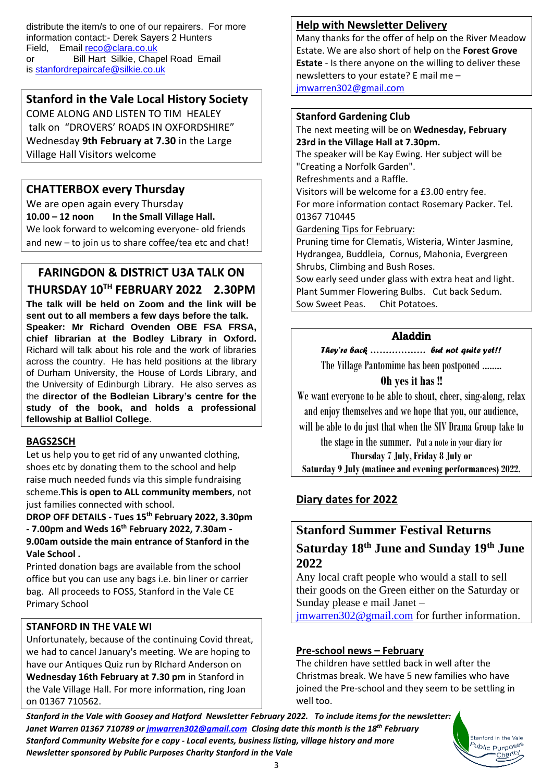distribute the item/s to one of our repairers. For more information contact:- Derek Sayers 2 Hunters Field, Email [reco@clara.co.uk](mailto:reco@clara.co.uk) or Bill Hart Silkie, Chapel Road Email is [stanfordrepaircafe@silkie.co.uk](mailto:stanfordrepaircafe@silkie.co.uk)

## **Stanford in the Vale Local History Society**

COME ALONG AND LISTEN TO TIM HEALEY talk on "DROVERS' ROADS IN OXFORDSHIRE" Wednesday **9th February at 7.30** in the Large Village Hall Visitors welcome

## **CHATTERBOX every Thursday**

We are open again every Thursday **10.00 – 12 noon In the Small Village Hall.** We look forward to welcoming everyone- old friends and new – to join us to share coffee/tea etc and chat!

# **FARINGDON & DISTRICT U3A TALK ON**

**THURSDAY 10TH FEBRUARY 2022 2.30PM The talk will be held on Zoom and the link will be sent out to all members a few days before the talk. Speaker: Mr Richard Ovenden OBE FSA FRSA, chief librarian at the Bodley Library in Oxford.**  Richard will talk about his role and the work of libraries across the country. He has held positions at the library of Durham University, the House of Lords Library, and the University of Edinburgh Library. He also serves as the **director of the Bodleian Library's centre for the study of the book, and holds a professional fellowship at Balliol College**.

### **BAGS2SCH**

Let us help you to get rid of any unwanted clothing. shoes etc by donating them to the school and help raise much needed funds via this simple fundraising scheme.**This is open to ALL community members**, not just families connected with school.

**DROP OFF DETAILS - Tues 15th February 2022, 3.30pm - 7.00pm and Weds 16th February 2022, 7.30am - 9.00am outside the main entrance of Stanford in the Vale School .**

Printed donation bags are available from the school office but you can use any bags i.e. bin liner or carrier bag. All proceeds to FOSS, Stanford in the Vale CE Primary School

### **STANFORD IN THE VALE WI**

Unfortunately, because of the continuing Covid threat, we had to cancel January's meeting. We are hoping to have our Antiques Quiz run by RIchard Anderson on **Wednesday 16th February at 7.30 pm** in Stanford in the Vale Village Hall. For more information, ring Joan on 01367 710562.

### **Help with Newsletter Delivery**

Many thanks for the offer of help on the River Meadow Estate. We are also short of help on the **Forest Grove Estate** - Is there anyone on the willing to deliver these newsletters to your estate? E mail me – [jmwarren302@gmail.com](mailto:jmwarren302@gmail.com)

### **Stanford Gardening Club**

The next meeting will be on **Wednesday, February 23rd in the Village Hall at 7.30pm.**

The speaker will be Kay Ewing. Her subject will be "Creating a Norfolk Garden".

Refreshments and a Raffle.

Visitors will be welcome for a £3.00 entry fee. For more information contact Rosemary Packer. Tel. 01367 710445

### Gardening Tips for February:

Pruning time for Clematis, Wisteria, Winter Jasmine, Hydrangea, Buddleia, Cornus, Mahonia, Evergreen Shrubs, Climbing and Bush Roses.

Sow early seed under glass with extra heat and light. Plant Summer Flowering Bulbs. Cut back Sedum. Sow Sweet Peas. Chit Potatoes.

### Aladdin

*They're back ……………… but not quite yet!!*

The Village Pantomime has been postponed ……..

### **Oh yes it has !!**

We want everyone to be able to shout, cheer, sing-along, relax and enjoy themselves and we hope that you, our audience,

will be able to do just that when the SIV Drama Group take to

the stage in the summer. Put a note in your diary for **Thursday 7 July, Friday 8 July or**

**Saturday 9 July (matinee and evening performances) 2022.**

## **Diary dates for 2022**

# **Stanford Summer Festival Returns Saturday 18 th June and Sunday 19 th June 2022**

Any local craft people who would a stall to sell their goods on the Green either on the Saturday or Sunday please e mail Janet –

[jmwarren302@gmail.com](mailto:jmwarren302@gmail.com) for further information.

### **Pre-school news – February**

The children have settled back in well after the Christmas break. We have 5 new families who have joined the Pre-school and they seem to be settling in well too.

> Stanford in the Vale <sup>b</sup>ublic Purpo<sup>ses</sup> Charity

*Stanford in the Vale with Goosey and Hatford Newsletter February 2022. To include items for the newsletter: Janet Warren 01367 710789 or [jmwarren302@gmail.com](mailto:jmwarren302@gmail.com) Closing date this month is the 18th February Stanford Community Website for e copy - Local events, business listing, village history and more Newsletter sponsored by Public Purposes Charity Stanford in the Vale*

3